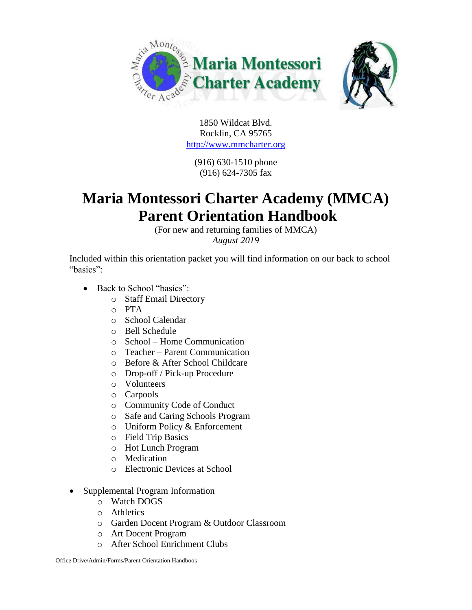

1850 Wildcat Blvd. Rocklin, CA 95765 [http://www.mmcharter.org](http://www.mmcharter.org/)

(916) 630-1510 phone (916) 624-7305 fax

# **Maria Montessori Charter Academy (MMCA) Parent Orientation Handbook**

(For new and returning families of MMCA) *August 2019*

Included within this orientation packet you will find information on our back to school "basics":

- Back to School "basics":
	- o Staff Email Directory
	- o PTA
	- o School Calendar
	- o Bell Schedule
	- o School Home Communication
	- o Teacher Parent Communication
	- o Before & After School Childcare
	- o Drop-off / Pick-up Procedure
	- o Volunteers
	- o Carpools
	- o Community Code of Conduct
	- o Safe and Caring Schools Program
	- o Uniform Policy & Enforcement
	- o Field Trip Basics
	- o Hot Lunch Program
	- o Medication
	- o Electronic Devices at School
- Supplemental Program Information
	- o Watch DOGS
	- o Athletics
	- o Garden Docent Program & Outdoor Classroom
	- o Art Docent Program
	- o After School Enrichment Clubs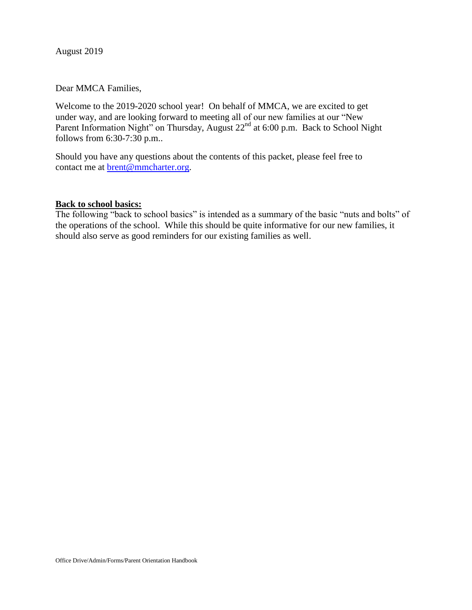August 2019

Dear MMCA Families,

Welcome to the 2019-2020 school year! On behalf of MMCA, we are excited to get under way, and are looking forward to meeting all of our new families at our "New Parent Information Night" on Thursday, August 22<sup>nd</sup> at 6:00 p.m. Back to School Night follows from 6:30-7:30 p.m..

Should you have any questions about the contents of this packet, please feel free to contact me at **brent@mmcharter.org**.

#### **Back to school basics:**

The following "back to school basics" is intended as a summary of the basic "nuts and bolts" of the operations of the school. While this should be quite informative for our new families, it should also serve as good reminders for our existing families as well.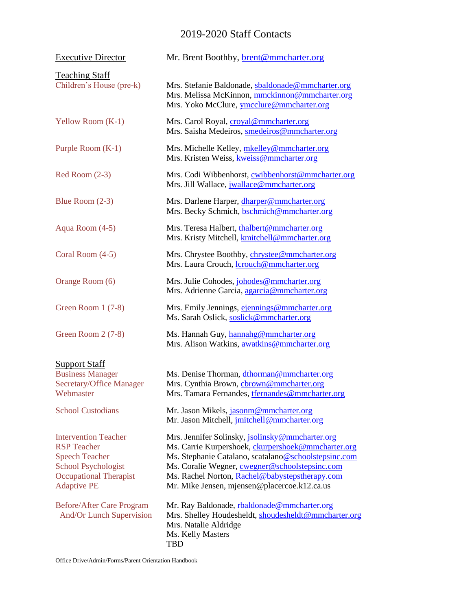# 2019-2020 Staff Contacts

| <b>Executive Director</b>                                                                                                                                       | Mr. Brent Boothby, brent@mmcharter.org                                                                                                                                                                                                                                                                            |
|-----------------------------------------------------------------------------------------------------------------------------------------------------------------|-------------------------------------------------------------------------------------------------------------------------------------------------------------------------------------------------------------------------------------------------------------------------------------------------------------------|
| <b>Teaching Staff</b><br>Children's House (pre-k)                                                                                                               | Mrs. Stefanie Baldonade, sbaldonade@mmcharter.org<br>Mrs. Melissa McKinnon, mmckinnon@mmcharter.org<br>Mrs. Yoko McClure, ymcclure@mmcharter.org                                                                                                                                                                  |
| Yellow Room $(K-1)$                                                                                                                                             | Mrs. Carol Royal, croyal@mmcharter.org<br>Mrs. Saisha Medeiros, smedeiros@mmcharter.org                                                                                                                                                                                                                           |
| Purple Room (K-1)                                                                                                                                               | Mrs. Michelle Kelley, mkelley@mmcharter.org<br>Mrs. Kristen Weiss, kweiss@mmcharter.org                                                                                                                                                                                                                           |
| $Red Room (2-3)$                                                                                                                                                | Mrs. Codi Wibbenhorst, cwibbenhorst@mmcharter.org<br>Mrs. Jill Wallace, jwallace@mmcharter.org                                                                                                                                                                                                                    |
| Blue Room $(2-3)$                                                                                                                                               | Mrs. Darlene Harper, dharper@mmcharter.org<br>Mrs. Becky Schmich, bschmich@mmcharter.org                                                                                                                                                                                                                          |
| Aqua Room (4-5)                                                                                                                                                 | Mrs. Teresa Halbert, thalbert@mmcharter.org<br>Mrs. Kristy Mitchell, kmitchell@mmcharter.org                                                                                                                                                                                                                      |
| Coral Room (4-5)                                                                                                                                                | Mrs. Chrystee Boothby, <i>chrystee@mmcharter.org</i><br>Mrs. Laura Crouch, <b>lcrouch@mmcharter.org</b>                                                                                                                                                                                                           |
| Orange Room (6)                                                                                                                                                 | Mrs. Julie Cohodes, johodes@mmcharter.org<br>Mrs. Adrienne Garcia, agarcia@mmcharter.org                                                                                                                                                                                                                          |
| Green Room $1(7-8)$                                                                                                                                             | Mrs. Emily Jennings, ejennings@mmcharter.org<br>Ms. Sarah Oslick, soslick@mmcharter.org                                                                                                                                                                                                                           |
| Green Room 2 (7-8)                                                                                                                                              | Ms. Hannah Guy, hannahg@mmcharter.org<br>Mrs. Alison Watkins, awatkins@mmcharter.org                                                                                                                                                                                                                              |
| <b>Support Staff</b><br><b>Business Manager</b><br>Secretary/Office Manager<br>Webmaster                                                                        | Ms. Denise Thorman, dthorman@mmcharter.org<br>Mrs. Cynthia Brown, cbrown@mmcharter.org<br>Mrs. Tamara Fernandes, <i>tfernandes@mmcharter.org</i>                                                                                                                                                                  |
| <b>School Custodians</b>                                                                                                                                        | Mr. Jason Mikels, jasonm@mmcharter.org<br>Mr. Jason Mitchell, jmitchell@mmcharter.org                                                                                                                                                                                                                             |
| <b>Intervention Teacher</b><br><b>RSP</b> Teacher<br><b>Speech Teacher</b><br><b>School Psychologist</b><br><b>Occupational Therapist</b><br><b>Adaptive PE</b> | Mrs. Jennifer Solinsky, jsolinsky@mmcharter.org<br>Ms. Carrie Kurpershoek, ckurpershoek@mmcharter.org<br>Ms. Stephanie Catalano, scatalano@schoolstepsinc.com<br>Ms. Coralie Wegner, cwegner@schoolstepsinc.com<br>Ms. Rachel Norton, Rachel@babystepstherapy.com<br>Mr. Mike Jensen, mjensen@placercoe.k12.ca.us |
| Before/After Care Program<br><b>And/Or Lunch Supervision</b>                                                                                                    | Mr. Ray Baldonade, rbaldonade@mmcharter.org<br>Mrs. Shelley Houdesheldt, shoudesheldt@mmcharter.org<br>Mrs. Natalie Aldridge<br>Ms. Kelly Masters<br><b>TBD</b>                                                                                                                                                   |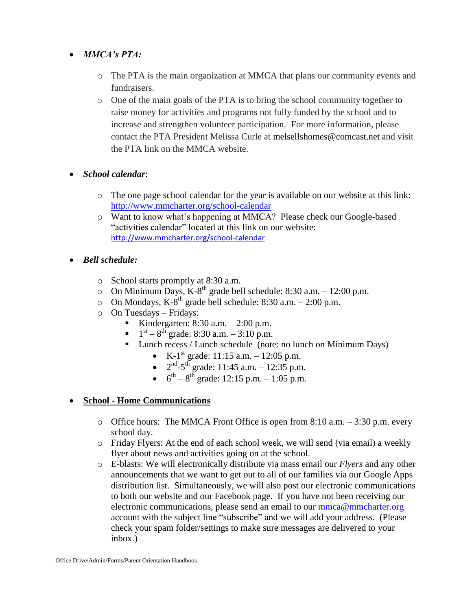## *MMCA's PTA:*

- o The PTA is the main organization at MMCA that plans our community events and fundraisers.
- o One of the main goals of the PTA is to bring the school community together to raise money for activities and programs not fully funded by the school and to increase and strengthen volunteer participation. For more information, please contact the PTA President Melissa Curle at melsellshomes@comcast.net and visit the PTA link on the MMCA website.
- *School calendar*:
	- o The one page school calendar for the year is available on our website at this link: <http://www.mmcharter.org/school-calendar>
	- o Want to know what's happening at MMCA? Please check our Google-based "activities calendar" located at this link on our website: <http://www.mmcharter.org/school-calendar>
- *Bell schedule:*
	- o School starts promptly at 8:30 a.m.
	- $\circ$  On Minimum Days, K-8<sup>th</sup> grade bell schedule: 8:30 a.m. 12:00 p.m.
	- $\circ$  On Mondays, K-8<sup>th</sup> grade bell schedule: 8:30 a.m. 2:00 p.m.
	- o On Tuesdays Fridays:
		- Kindergarten: 8:30 a.m. 2:00 p.m.
		- $1<sup>st</sup> 8<sup>th</sup>$  grade: 8:30 a.m. 3:10 p.m.
		- **Lunch recess / Lunch schedule (note: no lunch on Minimum Days)** 
			- K-1<sup>st</sup> grade: 11:15 a.m. 12:05 p.m.
			- $2<sup>nd</sup> 5<sup>th</sup>$  grade: 11:45 a.m. 12:35 p.m.
			- $6^{th} 8^{th}$  grade: 12:15 p.m. 1:05 p.m.

### **School - Home Communications**

- o Office hours: The MMCA Front Office is open from 8:10 a.m. 3:30 p.m. every school day.
- o Friday Flyers: At the end of each school week, we will send (via email) a weekly flyer about news and activities going on at the school.
- o E-blasts: We will electronically distribute via mass email our *Flyers* and any other announcements that we want to get out to all of our families via our Google Apps distribution list. Simultaneously, we will also post our electronic communications to both our website and our Facebook page. If you have not been receiving our electronic communications, please send an email to our [mmca@mmcharter.org](mailto:mmca@mmcharter.org) account with the subject line "subscribe" and we will add your address. (Please check your spam folder/settings to make sure messages are delivered to your inbox.)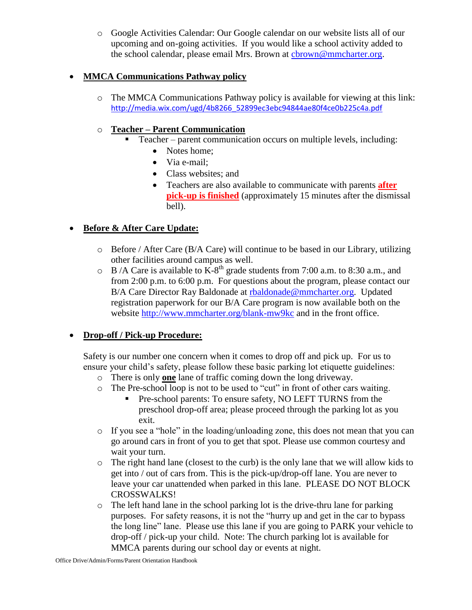o Google Activities Calendar: Our Google calendar on our website lists all of our upcoming and on-going activities. If you would like a school activity added to the school calendar, please email Mrs. Brown at [cbrown@mmcharter.org.](mailto:cbrown@mmcharter.org)

## **MMCA Communications Pathway policy**

o The MMCA Communications Pathway policy is available for viewing at this link: [http://media.wix.com/ugd/4b8266\\_52899ec3ebc94844ae80f4ce0b225c4a.pdf](http://media.wix.com/ugd/4b8266_52899ec3ebc94844ae80f4ce0b225c4a.pdf)

# o **Teacher – Parent Communication**

- Teacher parent communication occurs on multiple levels, including:
	- Notes home:
	- Via e-mail:
	- Class websites; and
	- Teachers are also available to communicate with parents **after pick-up is finished** (approximately 15 minutes after the dismissal bell).

# **Before & After Care Update:**

- $\circ$  Before / After Care (B/A Care) will continue to be based in our Library, utilizing other facilities around campus as well.
- $\circ$  B /A Care is available to K-8<sup>th</sup> grade students from 7:00 a.m. to 8:30 a.m., and from 2:00 p.m. to 6:00 p.m. For questions about the program, please contact our B/A Care Director Ray Baldonade at [rbaldonade@mmcharter.org.](mailto:rbaldonade@mmcharter.org) Updated registration paperwork for our B/A Care program is now available both on the website <http://www.mmcharter.org/blank-mw9kc> and in the front office.

# **Drop-off / Pick-up Procedure:**

Safety is our number one concern when it comes to drop off and pick up. For us to ensure your child's safety, please follow these basic parking lot etiquette guidelines:

- o There is only **one** lane of traffic coming down the long driveway.
- o The Pre-school loop is not to be used to "cut" in front of other cars waiting.
	- Pre-school parents: To ensure safety, NO LEFT TURNS from the preschool drop-off area; please proceed through the parking lot as you exit.
- o If you see a "hole" in the loading/unloading zone, this does not mean that you can go around cars in front of you to get that spot. Please use common courtesy and wait your turn.
- o The right hand lane (closest to the curb) is the only lane that we will allow kids to get into / out of cars from. This is the pick-up/drop-off lane. You are never to leave your car unattended when parked in this lane. PLEASE DO NOT BLOCK CROSSWALKS!
- o The left hand lane in the school parking lot is the drive-thru lane for parking purposes. For safety reasons, it is not the "hurry up and get in the car to bypass the long line" lane. Please use this lane if you are going to PARK your vehicle to drop-off / pick-up your child. Note: The church parking lot is available for MMCA parents during our school day or events at night.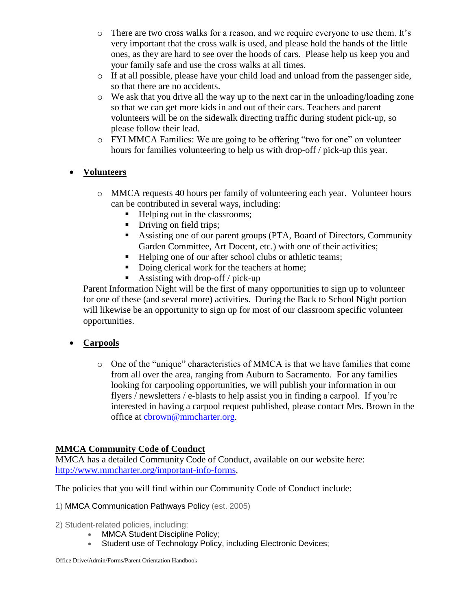- o There are two cross walks for a reason, and we require everyone to use them. It's very important that the cross walk is used, and please hold the hands of the little ones, as they are hard to see over the hoods of cars. Please help us keep you and your family safe and use the cross walks at all times.
- o If at all possible, please have your child load and unload from the passenger side, so that there are no accidents.
- $\circ$  We ask that you drive all the way up to the next car in the unloading/loading zone so that we can get more kids in and out of their cars. Teachers and parent volunteers will be on the sidewalk directing traffic during student pick-up, so please follow their lead.
- o FYI MMCA Families: We are going to be offering "two for one" on volunteer hours for families volunteering to help us with drop-off / pick-up this year.

# **Volunteers**

- o MMCA requests 40 hours per family of volunteering each year. Volunteer hours can be contributed in several ways, including:
	- Helping out in the classrooms;
	- Driving on field trips;
	- Assisting one of our parent groups (PTA, Board of Directors, Community Garden Committee, Art Docent, etc.) with one of their activities;
	- Helping one of our after school clubs or athletic teams;
	- Doing clerical work for the teachers at home;
	- Assisting with drop-off / pick-up

Parent Information Night will be the first of many opportunities to sign up to volunteer for one of these (and several more) activities. During the Back to School Night portion will likewise be an opportunity to sign up for most of our classroom specific volunteer opportunities.

# **Carpools**

o One of the "unique" characteristics of MMCA is that we have families that come from all over the area, ranging from Auburn to Sacramento. For any families looking for carpooling opportunities, we will publish your information in our flyers / newsletters / e-blasts to help assist you in finding a carpool. If you're interested in having a carpool request published, please contact Mrs. Brown in the office at [cbrown@mmcharter.org.](mailto:cbrown@mmcharter.org)

# **MMCA Community Code of Conduct**

MMCA has a detailed Community Code of Conduct, available on our website here: [http://www.mmcharter.org/important-info-forms.](http://www.mmcharter.org/important-info-forms)

The policies that you will find within our Community Code of Conduct include:

1) MMCA Communication Pathways Policy (est. 2005)

- 2) Student-related policies, including:
	- MMCA Student Discipline Policy;
	- Student use of Technology Policy, including Electronic Devices;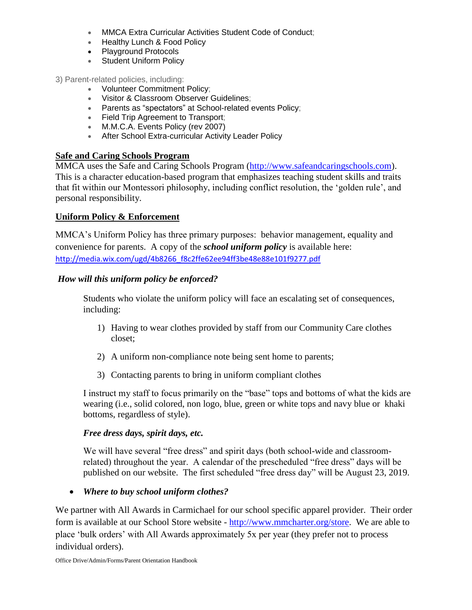- MMCA Extra Curricular Activities Student Code of Conduct;
- Healthy Lunch & Food Policy
- Playground Protocols
- Student Uniform Policy
- 3) Parent-related policies, including:
	- Volunteer Commitment Policy;
	- Visitor & Classroom Observer Guidelines;
	- Parents as "spectators" at School-related events Policy;
	- **Field Trip Agreement to Transport;**
	- M.M.C.A. Events Policy (rev 2007)
	- After School Extra-curricular Activity Leader Policy

### **Safe and Caring Schools Program**

MMCA uses the Safe and Caring Schools Program [\(http://www.safeandcaringschools.com\)](http://www.safeandcaringschools.com/). This is a character education-based program that emphasizes teaching student skills and traits that fit within our Montessori philosophy, including conflict resolution, the 'golden rule', and personal responsibility.

#### **Uniform Policy & Enforcement**

MMCA's Uniform Policy has three primary purposes: behavior management, equality and convenience for parents. A copy of the *school uniform policy* is available here: [http://media.wix.com/ugd/4b8266\\_f8c2ffe62ee94ff3be48e88e101f9277.pdf](http://media.wix.com/ugd/4b8266_f8c2ffe62ee94ff3be48e88e101f9277.pdf)

#### *How will this uniform policy be enforced?*

Students who violate the uniform policy will face an escalating set of consequences, including:

- 1) Having to wear clothes provided by staff from our Community Care clothes closet;
- 2) A uniform non-compliance note being sent home to parents;
- 3) Contacting parents to bring in uniform compliant clothes

I instruct my staff to focus primarily on the "base" tops and bottoms of what the kids are wearing (i.e., solid colored, non logo, blue, green or white tops and navy blue or khaki bottoms, regardless of style).

#### *Free dress days, spirit days, etc.*

We will have several "free dress" and spirit days (both school-wide and classroomrelated) throughout the year. A calendar of the prescheduled "free dress" days will be published on our website. The first scheduled "free dress day" will be August 23, 2019.

*Where to buy school uniform clothes?*

We partner with All Awards in Carmichael for our school specific apparel provider. Their order form is available at our School Store website - [http://www.mmcharter.org/store.](http://www.mmcharter.org/store) We are able to place 'bulk orders' with All Awards approximately 5x per year (they prefer not to process individual orders).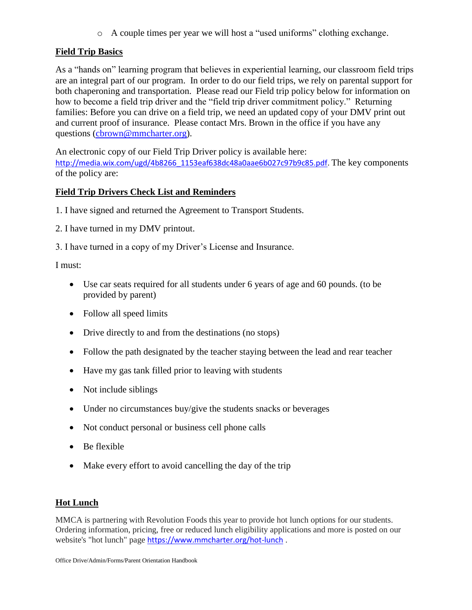o A couple times per year we will host a "used uniforms" clothing exchange.

# **Field Trip Basics**

As a "hands on" learning program that believes in experiential learning, our classroom field trips are an integral part of our program. In order to do our field trips, we rely on parental support for both chaperoning and transportation. Please read our Field trip policy below for information on how to become a field trip driver and the "field trip driver commitment policy." Returning families: Before you can drive on a field trip, we need an updated copy of your DMV print out and current proof of insurance. Please contact Mrs. Brown in the office if you have any questions [\(cbrown@mmcharter.org\)](mailto:cbrown@mmcharter.org).

An electronic copy of our Field Trip Driver policy is available here: [http://media.wix.com/ugd/4b8266\\_1153eaf638dc48a0aae6b027c97b9c85.pdf.](http://media.wix.com/ugd/4b8266_1153eaf638dc48a0aae6b027c97b9c85.pdf) The key components of the policy are:

### **Field Trip Drivers Check List and Reminders**

1. I have signed and returned the Agreement to Transport Students.

2. I have turned in my DMV printout.

3. I have turned in a copy of my Driver's License and Insurance.

I must:

- Use car seats required for all students under 6 years of age and 60 pounds. (to be provided by parent)
- Follow all speed limits
- Drive directly to and from the destinations (no stops)
- Follow the path designated by the teacher staying between the lead and rear teacher
- Have my gas tank filled prior to leaving with students
- Not include siblings
- Under no circumstances buy/give the students snacks or beverages
- Not conduct personal or business cell phone calls
- $\bullet$  Be flexible
- Make every effort to avoid cancelling the day of the trip

### **Hot Lunch**

MMCA is partnering with Revolution Foods this year to provide hot lunch options for our students. Ordering information, pricing, free or reduced lunch eligibility applications and more is posted on our website's "hot lunch" page <https://www.mmcharter.org/hot-lunch> .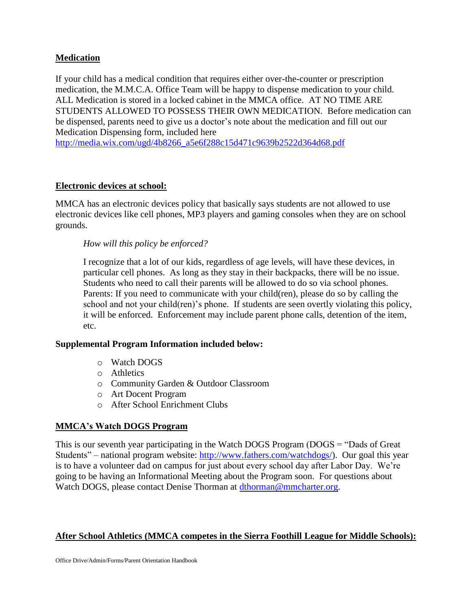### **Medication**

If your child has a medical condition that requires either over-the-counter or prescription medication, the M.M.C.A. Office Team will be happy to dispense medication to your child. ALL Medication is stored in a locked cabinet in the MMCA office. AT NO TIME ARE STUDENTS ALLOWED TO POSSESS THEIR OWN MEDICATION. Before medication can be dispensed, parents need to give us a doctor's note about the medication and fill out our Medication Dispensing form, included here

[http://media.wix.com/ugd/4b8266\\_a5e6f288c15d471c9639b2522d364d68.pdf](http://media.wix.com/ugd/4b8266_a5e6f288c15d471c9639b2522d364d68.pdf)

#### **Electronic devices at school:**

MMCA has an electronic devices policy that basically says students are not allowed to use electronic devices like cell phones, MP3 players and gaming consoles when they are on school grounds.

#### *How will this policy be enforced?*

I recognize that a lot of our kids, regardless of age levels, will have these devices, in particular cell phones. As long as they stay in their backpacks, there will be no issue. Students who need to call their parents will be allowed to do so via school phones. Parents: If you need to communicate with your child(ren), please do so by calling the school and not your child(ren)'s phone. If students are seen overtly violating this policy, it will be enforced. Enforcement may include parent phone calls, detention of the item, etc.

#### **Supplemental Program Information included below:**

- o Watch DOGS
- o Athletics
- o Community Garden & Outdoor Classroom
- o Art Docent Program
- o After School Enrichment Clubs

### **MMCA's Watch DOGS Program**

This is our seventh year participating in the Watch DOGS Program (DOGS = "Dads of Great Students" – national program website: [http://www.fathers.com/watchdogs/\)](http://www.fathers.com/watchdogs/). Our goal this year is to have a volunteer dad on campus for just about every school day after Labor Day. We're going to be having an Informational Meeting about the Program soon. For questions about Watch DOGS, please contact Denise Thorman at [dthorman@mmcharter.org.](mailto:dthorman@mmcharter.org)

### **After School Athletics (MMCA competes in the Sierra Foothill League for Middle Schools):**